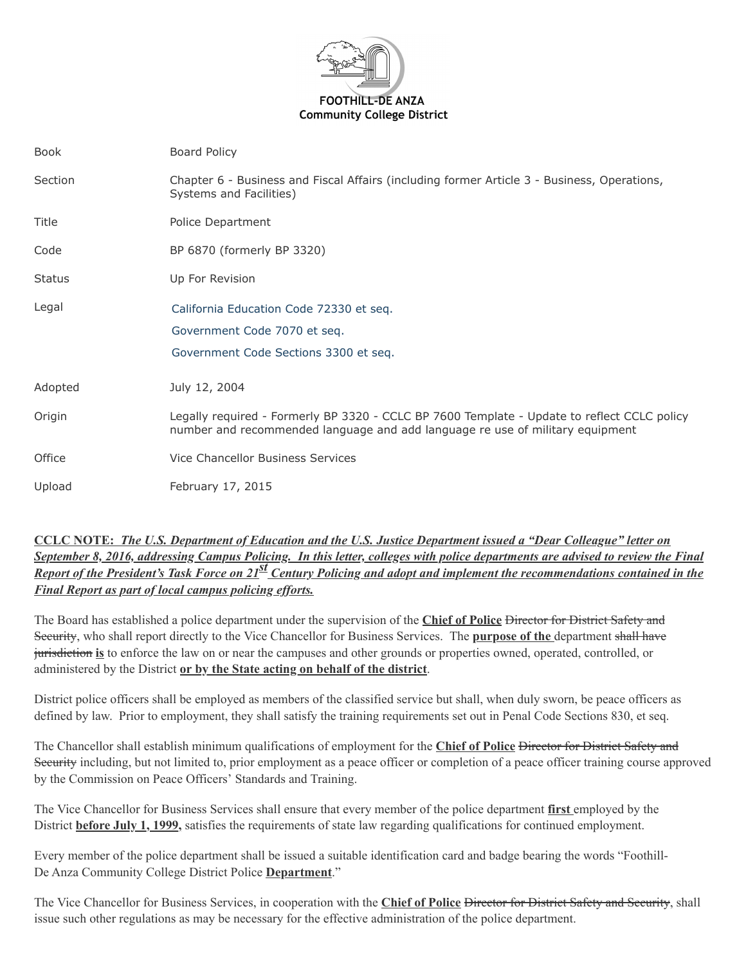

| Book          | <b>Board Policy</b>                                                                                                                                                          |
|---------------|------------------------------------------------------------------------------------------------------------------------------------------------------------------------------|
| Section       | Chapter 6 - Business and Fiscal Affairs (including former Article 3 - Business, Operations,<br>Systems and Facilities)                                                       |
| Title         | Police Department                                                                                                                                                            |
| Code          | BP 6870 (formerly BP 3320)                                                                                                                                                   |
| <b>Status</b> | Up For Revision                                                                                                                                                              |
| Legal         | California Education Code 72330 et seq.<br>Government Code 7070 et seq.<br>Government Code Sections 3300 et seq.                                                             |
| Adopted       | July 12, 2004                                                                                                                                                                |
| Origin        | Legally required - Formerly BP 3320 - CCLC BP 7600 Template - Update to reflect CCLC policy<br>number and recommended language and add language re use of military equipment |
| Office        | Vice Chancellor Business Services                                                                                                                                            |
| Upload        | February 17, 2015                                                                                                                                                            |

## **CCLC NOTE:** *The U.S. Department of Education and the U.S. Justice Department issued a "Dear Colleague" letter on September 8, 2016, addressing Campus Policing. In this letter, colleges with police departments are advised to review the Final Report of the President's Task Force on 21<sup>st</sup> Century Policing and adopt and implement the recommendations contained in the Final Report as part of local campus policing efforts.*

The Board has established a police department under the supervision of the **Chief of Police** Director for District Safety and Security, who shall report directly to the Vice Chancellor for Business Services. The **purpose of the** department shall have jurisdiction **is** to enforce the law on or near the campuses and other grounds or properties owned, operated, controlled, or administered by the District **or by the State acting on behalf of the district**.

District police officers shall be employed as members of the classified service but shall, when duly sworn, be peace officers as defined by law. Prior to employment, they shall satisfy the training requirements set out in Penal Code Sections 830, et seq.

The Chancellor shall establish minimum qualifications of employment for the **Chief of Police** Director for District Safety and Security including, but not limited to, prior employment as a peace officer or completion of a peace officer training course approved by the Commission on Peace Officers' Standards and Training.

The Vice Chancellor for Business Services shall ensure that every member of the police department **first** employed by the District **before July 1, 1999,** satisfies the requirements of state law regarding qualifications for continued employment.

Every member of the police department shall be issued a suitable identification card and badge bearing the words "Foothill-De Anza Community College District Police **Department**."

The Vice Chancellor for Business Services, in cooperation with the **Chief of Police Director for District Safety and Security**, shall issue such other regulations as may be necessary for the effective administration of the police department.